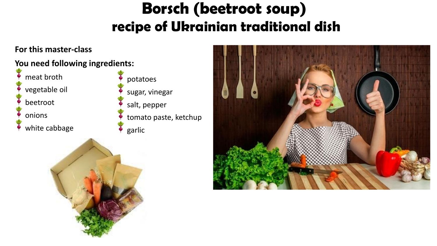# Borsch (beetroot soup) **recipe of Ukrainian traditional dish**

#### **For this master-class**

#### **You need following ingredients:**

meat broth

vegetable oil

beetroot

onions

white cabbage

potatoes sugar, vinegar salt, pepper tomato paste, ketchup garlic



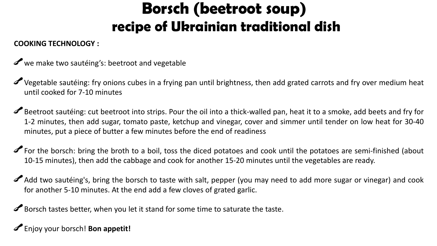## Borsch (beetroot soup) **recipe of Ukrainian traditional dish**

#### **COOKING TECHNOLOGY :**

- we make two sautéing's: beetroot and vegetable
- Vegetable sautéing: fry onions cubes in a frying pan until brightness, then add grated carrots and fry over medium heat until cooked for 7-10 minutes
- Beetroot sautéing: cut beetroot into strips. Pour the oil into a thick-walled pan, heat it to a smoke, add beets and fry for 1-2 minutes, then add sugar, tomato paste, ketchup and vinegar, cover and simmer until tender on low heat for 30-40 minutes, put a piece of butter a few minutes before the end of readiness
- For the borsch: bring the broth to a boil, toss the diced potatoes and cook until the potatoes are semi-finished (about 10-15 minutes), then add the cabbage and cook for another 15-20 minutes until the vegetables are ready.
- Add two sautéing's, bring the borsch to taste with salt, pepper (you may need to add more sugar or vinegar) and cook for another 5-10 minutes. At the end add a few cloves of grated garlic.

Borsch tastes better, when you let it stand for some time to saturate the taste.

Enjoy your borsch! **Bon appetit!**